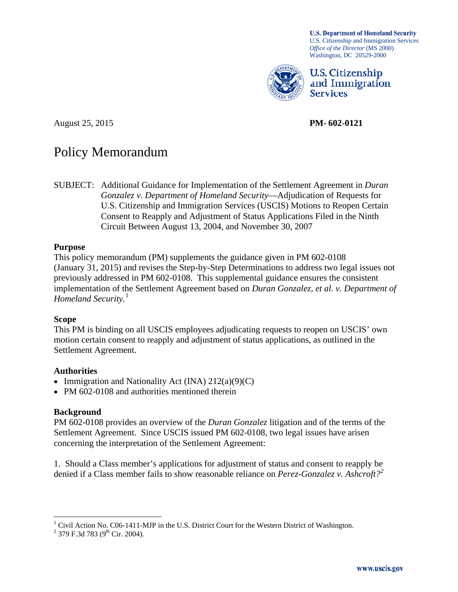**U.S. Department of Homeland Security** U.S. Citizenship and Immigration Services  *Office of the Director* (MS 2000) Washington, DC 20529-2000



**U.S. Citizenship** and Immigration **Services** 

August 25, 2015 **PM- 602-0121** 

# Policy Memorandum

 SUBJECT: Additional Guidance for Implementation of the Settlement Agreement in *Duran*  Consent to Reapply and Adjustment of Status Applications Filed in the Ninth *Gonzalez v. Department of Homeland Security*—Adjudication of Requests for U.S. Citizenship and Immigration Services (USCIS) Motions to Reopen Certain Circuit Between August 13, 2004, and November 30, 2007

#### **Purpose**

 previously addressed in PM 602-0108. This supplemental guidance ensures the consistent *Homeland Security.*<sup>1</sup> This policy memorandum (PM) supplements the guidance given in PM 602-0108 (January 31, 2015) and revises the Step-by-Step Determinations to address two legal issues not implementation of the Settlement Agreement based on *Duran Gonzalez, et al. v. Department of* 

#### **Scope**

This PM is binding on all USCIS employees adjudicating requests to reopen on USCIS' own motion certain consent to reapply and adjustment of status applications, as outlined in the Settlement Agreement.

#### **Authorities**

- Immigration and Nationality Act (INA)  $212(a)(9)(C)$
- PM 602-0108 and authorities mentioned therein

# **Background**

 PM 602-0108 provides an overview of the *Duran Gonzalez* litigation and of the terms of the Settlement Agreement. Since USCIS issued PM 602-0108, two legal issues have arisen concerning the interpretation of the Settlement Agreement:

 1. Should a Class member's applications for adjustment of status and consent to reapply be denied if a Class member fails to show reasonable reliance on *Perez-Gonzalez v. Ashcroft?[2](#page-0-1)* 

<sup>&</sup>lt;u>.</u> <sup>1</sup> Civil Action No. C06-1411-MJP in the U.S. District Court for the Western District of Washington.

<span id="page-0-1"></span><span id="page-0-0"></span><sup>&</sup>lt;sup>2</sup> 379 F.3d 783 (9<sup>th</sup> Cir. 2004).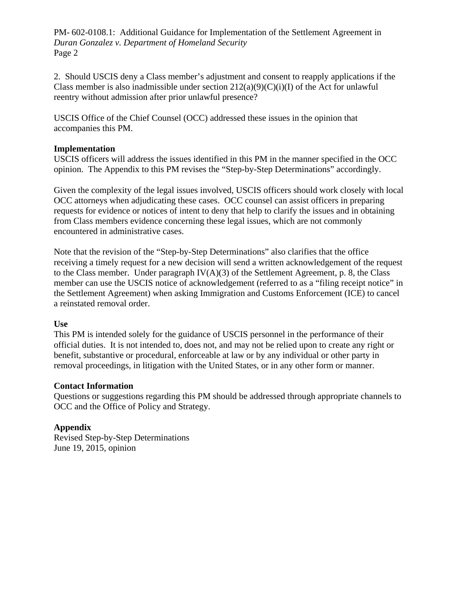2. Should USCIS deny a Class member's adjustment and consent to reapply applications if the Class member is also inadmissible under section  $212(a)(9)(C)(i)(I)$  of the Act for unlawful reentry without admission after prior unlawful presence?

USCIS Office of the Chief Counsel (OCC) addressed these issues in the opinion that accompanies this PM.

#### **Implementation**

 USCIS officers will address the issues identified in this PM in the manner specified in the OCC opinion. The Appendix to this PM revises the "Step-by-Step Determinations" accordingly.

encountered in administrative cases. Given the complexity of the legal issues involved, USCIS officers should work closely with local OCC attorneys when adjudicating these cases. OCC counsel can assist officers in preparing requests for evidence or notices of intent to deny that help to clarify the issues and in obtaining from Class members evidence concerning these legal issues, which are not commonly

 a reinstated removal order. Note that the revision of the "Step-by-Step Determinations" also clarifies that the office receiving a timely request for a new decision will send a written acknowledgement of the request to the Class member. Under paragraph  $IV(A)(3)$  of the Settlement Agreement, p. 8, the Class member can use the USCIS notice of acknowledgement (referred to as a "filing receipt notice" in the Settlement Agreement) when asking Immigration and Customs Enforcement (ICE) to cancel

#### **Use**

 official duties. It is not intended to, does not, and may not be relied upon to create any right or removal proceedings, in litigation with the United States, or in any other form or manner. This PM is intended solely for the guidance of USCIS personnel in the performance of their benefit, substantive or procedural, enforceable at law or by any individual or other party in

#### **Contact Information**

Questions or suggestions regarding this PM should be addressed through appropriate channels to OCC and the Office of Policy and Strategy.

#### **Appendix**

Revised Step-by-Step Determinations June 19, 2015, opinion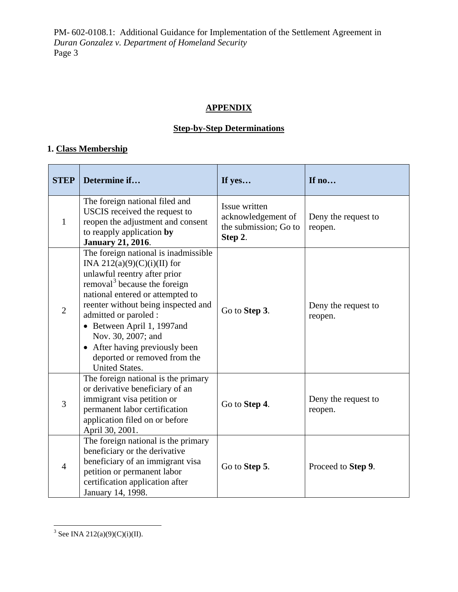# **APPENDIX**

# **Step-by-Step Determinations**

# **1. Class Membership**

| <b>STEP</b>    | Determine if                                                                                                                                                                                                                                                                                                                                                                                       | If yes                                                                  | If no                          |
|----------------|----------------------------------------------------------------------------------------------------------------------------------------------------------------------------------------------------------------------------------------------------------------------------------------------------------------------------------------------------------------------------------------------------|-------------------------------------------------------------------------|--------------------------------|
| $\mathbf{1}$   | The foreign national filed and<br>USCIS received the request to<br>reopen the adjustment and consent<br>to reapply application by<br><b>January 21, 2016.</b>                                                                                                                                                                                                                                      | Issue written<br>acknowledgement of<br>the submission; Go to<br>Step 2. | Deny the request to<br>reopen. |
| $\overline{2}$ | The foreign national is inadmissible<br>INA 212(a)(9)(C)(i)(II) for<br>unlawful reentry after prior<br>removal <sup>3</sup> because the foreign<br>national entered or attempted to<br>reenter without being inspected and<br>admitted or paroled :<br>• Between April 1, 1997and<br>Nov. 30, 2007; and<br>• After having previously been<br>deported or removed from the<br><b>United States.</b> | Go to Step 3.                                                           | Deny the request to<br>reopen. |
| 3              | The foreign national is the primary<br>or derivative beneficiary of an<br>immigrant visa petition or<br>permanent labor certification<br>application filed on or before<br>April 30, 2001.                                                                                                                                                                                                         | Go to Step 4.                                                           | Deny the request to<br>reopen. |
| $\overline{4}$ | The foreign national is the primary<br>beneficiary or the derivative<br>beneficiary of an immigrant visa<br>petition or permanent labor<br>certification application after<br>January 14, 1998.                                                                                                                                                                                                    | Go to Step 5.                                                           | Proceed to Step 9.             |

<span id="page-2-0"></span> $\overline{a}$ <sup>3</sup> See INA 212(a)(9)(C)(i)(II).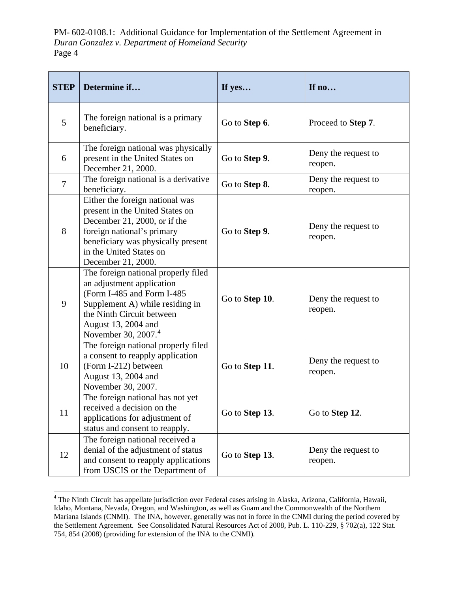| <b>STEP</b>    | Determine if                                                                                                                                                                                                             | If yes         | If no                          |
|----------------|--------------------------------------------------------------------------------------------------------------------------------------------------------------------------------------------------------------------------|----------------|--------------------------------|
| 5              | The foreign national is a primary<br>beneficiary.                                                                                                                                                                        | Go to Step 6.  | Proceed to Step 7.             |
| 6              | The foreign national was physically<br>present in the United States on<br>December 21, 2000.                                                                                                                             | Go to Step 9.  | Deny the request to<br>reopen. |
| $\overline{7}$ | The foreign national is a derivative<br>beneficiary.                                                                                                                                                                     | Go to Step 8.  | Deny the request to<br>reopen. |
| 8              | Either the foreign national was<br>present in the United States on<br>December 21, 2000, or if the<br>foreign national's primary<br>beneficiary was physically present<br>in the United States on<br>December 21, 2000.  | Go to Step 9.  | Deny the request to<br>reopen. |
| 9              | The foreign national properly filed<br>an adjustment application<br>(Form I-485 and Form I-485<br>Supplement A) while residing in<br>the Ninth Circuit between<br>August 13, 2004 and<br>November 30, 2007. <sup>4</sup> | Go to Step 10. | Deny the request to<br>reopen. |
| 10             | The foreign national properly filed<br>a consent to reapply application<br>(Form I-212) between<br>August 13, 2004 and<br>November 30, 2007.                                                                             | Go to Step 11. | Deny the request to<br>reopen. |
| 11             | The foreign national has not yet<br>received a decision on the<br>applications for adjustment of<br>status and consent to reapply.                                                                                       | Go to Step 13. | Go to Step 12.                 |
| 12             | The foreign national received a<br>denial of the adjustment of status<br>and consent to reapply applications<br>from USCIS or the Department of                                                                          | Go to Step 13. | Deny the request to<br>reopen. |

<span id="page-3-0"></span> $\overline{a}$  Idaho, Montana, Nevada, Oregon, and Washington, as well as Guam and the Commonwealth of the Northern Mariana Islands (CNMI). The INA, however, generally was not in force in the CNMI during the period covered by the Settlement Agreement. See Consolidated Natural Resources Act of 2008, Pub. L. 110-229, § 702(a), 122 Stat. 754, 854 (2008) (providing for extension of the INA to the CNMI). <sup>4</sup> The Ninth Circuit has appellate jurisdiction over Federal cases arising in Alaska, Arizona, California, Hawaii,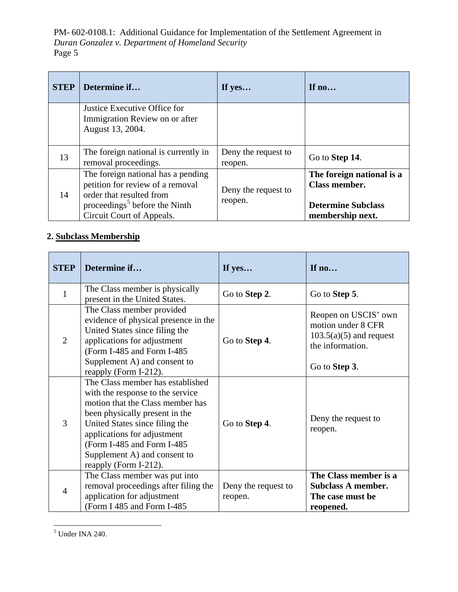| <b>STEP</b> | Determine if                                                                                                                                                                 | If yes                         | If $no$                                                                                     |
|-------------|------------------------------------------------------------------------------------------------------------------------------------------------------------------------------|--------------------------------|---------------------------------------------------------------------------------------------|
|             | Justice Executive Office for<br>Immigration Review on or after<br>August 13, 2004.                                                                                           |                                |                                                                                             |
| 13          | The foreign national is currently in<br>removal proceedings.                                                                                                                 | Deny the request to<br>reopen. | Go to <b>Step 14</b> .                                                                      |
| 14          | The foreign national has a pending<br>petition for review of a removal<br>order that resulted from<br>proceedings <sup>5</sup> before the Ninth<br>Circuit Court of Appeals. | Deny the request to<br>reopen. | The foreign national is a<br>Class member.<br><b>Determine Subclass</b><br>membership next. |

# **2. Subclass Membership**

| <b>STEP</b>    | Determine if                                                                                                                                                                                                                                                                                       | If yes                         | If no                                                                                                        |
|----------------|----------------------------------------------------------------------------------------------------------------------------------------------------------------------------------------------------------------------------------------------------------------------------------------------------|--------------------------------|--------------------------------------------------------------------------------------------------------------|
| $\mathbf{1}$   | The Class member is physically<br>present in the United States.                                                                                                                                                                                                                                    | Go to Step 2.                  | Go to Step 5.                                                                                                |
| $\overline{2}$ | The Class member provided<br>evidence of physical presence in the<br>United States since filing the<br>applications for adjustment<br>(Form I-485 and Form I-485<br>Supplement A) and consent to<br>reapply (Form I-212).                                                                          | Go to Step 4.                  | Reopen on USCIS' own<br>motion under 8 CFR<br>$103.5(a)(5)$ and request<br>the information.<br>Go to Step 3. |
| 3              | The Class member has established<br>with the response to the service<br>motion that the Class member has<br>been physically present in the<br>United States since filing the<br>applications for adjustment<br>(Form I-485 and Form I-485<br>Supplement A) and consent to<br>reapply (Form I-212). | Go to Step 4.                  | Deny the request to<br>reopen.                                                                               |
| $\overline{4}$ | The Class member was put into<br>removal proceedings after filing the<br>application for adjustment<br>(Form I 485 and Form I-485)                                                                                                                                                                 | Deny the request to<br>reopen. | The Class member is a<br><b>Subclass A member.</b><br>The case must be<br>reopened.                          |

<span id="page-4-0"></span> $\overline{a}$  $<sup>5</sup>$  Under INA 240.</sup>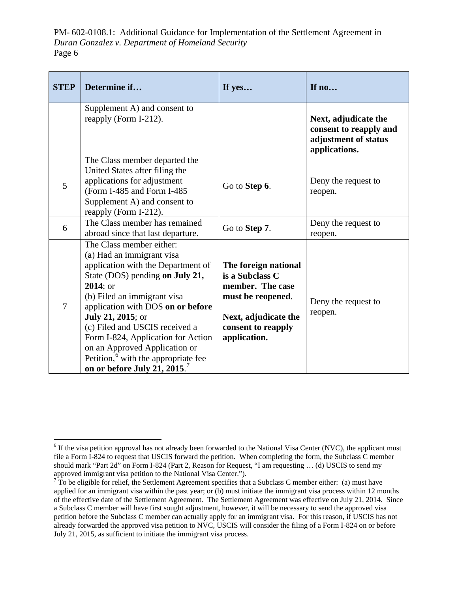| <b>STEP</b> | Determine if                                                                                                                                                                                                                                                                                                                                                                                                                                        | If yes                                                                                                                                         | If no                                                                                   |
|-------------|-----------------------------------------------------------------------------------------------------------------------------------------------------------------------------------------------------------------------------------------------------------------------------------------------------------------------------------------------------------------------------------------------------------------------------------------------------|------------------------------------------------------------------------------------------------------------------------------------------------|-----------------------------------------------------------------------------------------|
|             | Supplement A) and consent to<br>reapply (Form I-212).                                                                                                                                                                                                                                                                                                                                                                                               |                                                                                                                                                | Next, adjudicate the<br>consent to reapply and<br>adjustment of status<br>applications. |
| 5           | The Class member departed the<br>United States after filing the<br>applications for adjustment<br>(Form I-485 and Form I-485<br>Supplement A) and consent to<br>reapply (Form I-212).                                                                                                                                                                                                                                                               | Go to Step 6.                                                                                                                                  | Deny the request to<br>reopen.                                                          |
| 6           | The Class member has remained<br>abroad since that last departure.                                                                                                                                                                                                                                                                                                                                                                                  | Go to Step 7.                                                                                                                                  | Deny the request to<br>reopen.                                                          |
| 7           | The Class member either:<br>(a) Had an immigrant visa<br>application with the Department of<br>State (DOS) pending on July 21,<br>2014; or<br>(b) Filed an immigrant visa<br>application with DOS on or before<br><b>July 21, 2015</b> ; or<br>(c) Filed and USCIS received a<br>Form I-824, Application for Action<br>on an Approved Application or<br>Petition, <sup>6</sup> with the appropriate fee<br>on or before July 21, 2015. <sup>7</sup> | The foreign national<br>is a Subclass C<br>member. The case<br>must be reopened.<br>Next, adjudicate the<br>consent to reapply<br>application. | Deny the request to<br>reopen.                                                          |

<span id="page-5-0"></span> $\overline{a}$  file a Form I-824 to request that USCIS forward the petition. When completing the form, the Subclass C member should mark "Part 2d" on Form I-824 (Part 2, Reason for Request, "I am requesting … (d) USCIS to send my approved immigrant visa petition to the National Visa Center."). <sup>6</sup> If the visa petition approval has not already been forwarded to the National Visa Center (NVC), the applicant must

<span id="page-5-1"></span>approved immigrant visa petition to the National Visa Center.").<br><sup>7</sup> To be eligible for relief, the Settlement Agreement specifies that a Subclass C member either: (a) must have applied for an immigrant visa within the past year; or (b) must initiate the immigrant visa process within 12 months of the effective date of the Settlement Agreement. The Settlement Agreement was effective on July 21, 2014. Since a Subclass C member will have first sought adjustment, however, it will be necessary to send the approved visa petition before the Subclass C member can actually apply for an immigrant visa. For this reason, if USCIS has not already forwarded the approved visa petition to NVC, USCIS will consider the filing of a Form I-824 on or before July 21, 2015, as sufficient to initiate the immigrant visa process.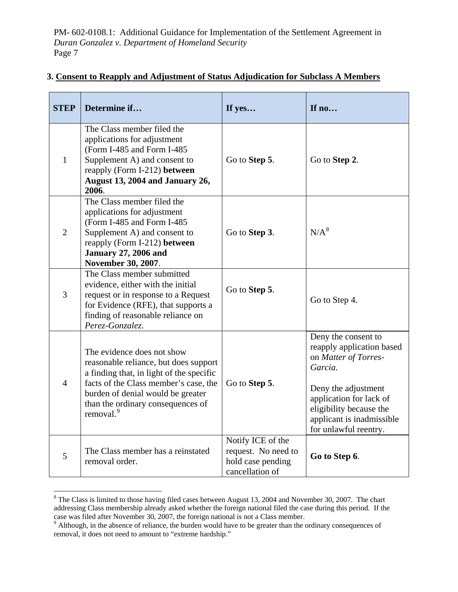| <b>STEP</b>    | Determine if                                                                                                                                                                                                                                                | If yes                                                                           | If no                                                                                                                                                                                                                  |
|----------------|-------------------------------------------------------------------------------------------------------------------------------------------------------------------------------------------------------------------------------------------------------------|----------------------------------------------------------------------------------|------------------------------------------------------------------------------------------------------------------------------------------------------------------------------------------------------------------------|
| $\mathbf{1}$   | The Class member filed the<br>applications for adjustment<br>(Form I-485 and Form I-485<br>Supplement A) and consent to<br>reapply (Form I-212) between<br>August 13, 2004 and January 26,<br>2006.                                                         | Go to Step 5.                                                                    | Go to Step 2.                                                                                                                                                                                                          |
| $\overline{2}$ | The Class member filed the<br>applications for adjustment<br>(Form I-485 and Form I-485<br>Supplement A) and consent to<br>reapply (Form I-212) between<br><b>January 27, 2006 and</b><br>November 30, 2007.                                                | Go to Step 3.                                                                    | $N/A^8$                                                                                                                                                                                                                |
| $\overline{3}$ | The Class member submitted<br>evidence, either with the initial<br>request or in response to a Request<br>for Evidence (RFE), that supports a<br>finding of reasonable reliance on<br>Perez-Gonzalez.                                                       | Go to Step 5.                                                                    | Go to Step 4.                                                                                                                                                                                                          |
| $\overline{4}$ | The evidence does not show<br>reasonable reliance, but does support<br>a finding that, in light of the specific<br>facts of the Class member's case, the<br>burden of denial would be greater<br>than the ordinary consequences of<br>removal. <sup>9</sup> | Go to Step 5.                                                                    | Deny the consent to<br>reapply application based<br>on Matter of Torres-<br>Garcia.<br>Deny the adjustment<br>application for lack of<br>eligibility because the<br>applicant is inadmissible<br>for unlawful reentry. |
| 5              | The Class member has a reinstated<br>removal order.                                                                                                                                                                                                         | Notify ICE of the<br>request. No need to<br>hold case pending<br>cancellation of | Go to Step 6.                                                                                                                                                                                                          |

# **3. Consent to Reapply and Adjustment of Status Adjudication for Subclass A Members**

<u>.</u>

<span id="page-6-0"></span> addressing Class membership already asked whether the foreign national filed the case during this period. If the case was filed after November 30, 2007, the foreign national is not a Class member.<br><sup>9</sup> Although, in the absence of reliance, the burden would have to be greater than the ordinary consequences of  $8$  The Class is limited to those having filed cases between August 13, 2004 and November 30, 2007. The chart

<span id="page-6-1"></span> removal, it does not need to amount to "extreme hardship."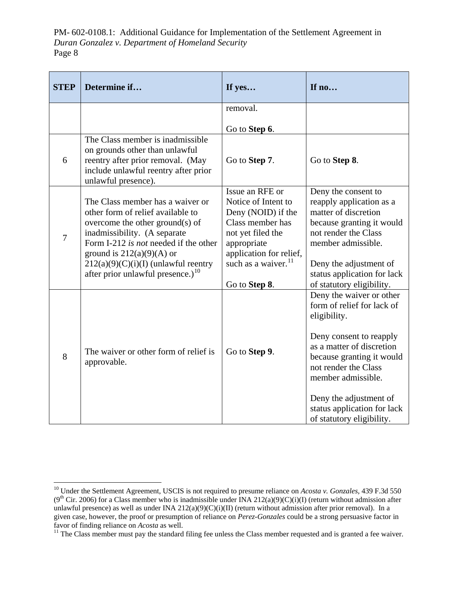| <b>STEP</b>    | Determine if                                                                                                                                                                                                                                                                                                | If yes                                                                                                                                                                       | If no                                                                                                                                                                                                                                                                                                                        |
|----------------|-------------------------------------------------------------------------------------------------------------------------------------------------------------------------------------------------------------------------------------------------------------------------------------------------------------|------------------------------------------------------------------------------------------------------------------------------------------------------------------------------|------------------------------------------------------------------------------------------------------------------------------------------------------------------------------------------------------------------------------------------------------------------------------------------------------------------------------|
|                |                                                                                                                                                                                                                                                                                                             | removal.                                                                                                                                                                     |                                                                                                                                                                                                                                                                                                                              |
|                |                                                                                                                                                                                                                                                                                                             | Go to Step 6.                                                                                                                                                                |                                                                                                                                                                                                                                                                                                                              |
| 6              | The Class member is inadmissible<br>on grounds other than unlawful<br>reentry after prior removal. (May<br>include unlawful reentry after prior<br>unlawful presence).                                                                                                                                      | Go to Step 7.                                                                                                                                                                | Go to Step 8.                                                                                                                                                                                                                                                                                                                |
| $\overline{7}$ | The Class member has a waiver or<br>other form of relief available to<br>overcome the other ground(s) of<br>inadmissibility. (A separate<br>Form I-212 is not needed if the other<br>ground is $212(a)(9)(A)$ or<br>$212(a)(9)(C)(i)(I)$ (unlawful reentry<br>after prior unlawful presence.) <sup>10</sup> | Issue an RFE or<br>Notice of Intent to<br>Deny (NOID) if the<br>Class member has<br>not yet filed the<br>appropriate<br>application for relief,<br>such as a waiver. $^{11}$ | Deny the consent to<br>reapply application as a<br>matter of discretion<br>because granting it would<br>not render the Class<br>member admissible.<br>Deny the adjustment of<br>status application for lack                                                                                                                  |
| 8              | The waiver or other form of relief is<br>approvable.                                                                                                                                                                                                                                                        | Go to Step 8.<br>Go to Step 9.                                                                                                                                               | of statutory eligibility.<br>Deny the waiver or other<br>form of relief for lack of<br>eligibility.<br>Deny consent to reapply<br>as a matter of discretion<br>because granting it would<br>not render the Class<br>member admissible.<br>Deny the adjustment of<br>status application for lack<br>of statutory eligibility. |

 $\overline{a}$ 

<span id="page-7-0"></span> $(9<sup>th</sup> Cir. 2006)$  for a Class member who is inadmissible under INA 212(a)(9)(C)(i)(I) (return without admission after unlawful presence) as well as under INA  $212(a)(9)(C)(i)(II)$  (return without admission after prior removal). In a given case, however, the proof or presumption of reliance on *Perez-Gonzales* could be a strong persuasive factor in i. favor of finding reliance on *Acosta* as well.<br><sup>11</sup> The Class member must pay the standard filing fee unless the Class member requested and is granted a fee waiver. 10 Under the Settlement Agreement, USCIS is not required to presume reliance on *Acosta v. Gonzales,* 439 F.3d 550

<span id="page-7-1"></span>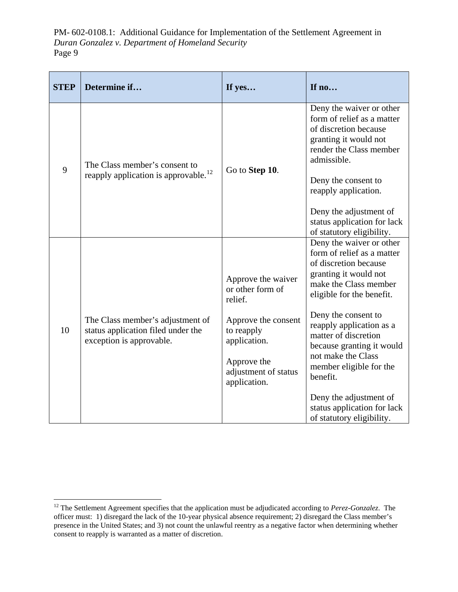| <b>STEP</b> | Determine if                                                                                       | If yes                                                                                                                                                        | If no                                                                                                                                                                                                                                                                                                                                                                                                                     |
|-------------|----------------------------------------------------------------------------------------------------|---------------------------------------------------------------------------------------------------------------------------------------------------------------|---------------------------------------------------------------------------------------------------------------------------------------------------------------------------------------------------------------------------------------------------------------------------------------------------------------------------------------------------------------------------------------------------------------------------|
| 9           | The Class member's consent to<br>reapply application is approvable. <sup>12</sup>                  | Go to Step 10.                                                                                                                                                | Deny the waiver or other<br>form of relief as a matter<br>of discretion because<br>granting it would not<br>render the Class member<br>admissible.<br>Deny the consent to<br>reapply application.<br>Deny the adjustment of<br>status application for lack<br>of statutory eligibility.                                                                                                                                   |
| 10          | The Class member's adjustment of<br>status application filed under the<br>exception is approvable. | Approve the waiver<br>or other form of<br>relief.<br>Approve the consent<br>to reapply<br>application.<br>Approve the<br>adjustment of status<br>application. | Deny the waiver or other<br>form of relief as a matter<br>of discretion because<br>granting it would not<br>make the Class member<br>eligible for the benefit.<br>Deny the consent to<br>reapply application as a<br>matter of discretion<br>because granting it would<br>not make the Class<br>member eligible for the<br>benefit.<br>Deny the adjustment of<br>status application for lack<br>of statutory eligibility. |

<span id="page-8-0"></span> $\overline{a}$  officer must: 1) disregard the lack of the 10-year physical absence requirement; 2) disregard the Class member's presence in the United States; and 3) not count the unlawful reentry as a negative factor when determining whether consent to reapply is warranted as a matter of discretion. <sup>12</sup> The Settlement Agreement specifies that the application must be adjudicated according to Perez-Gonzalez. The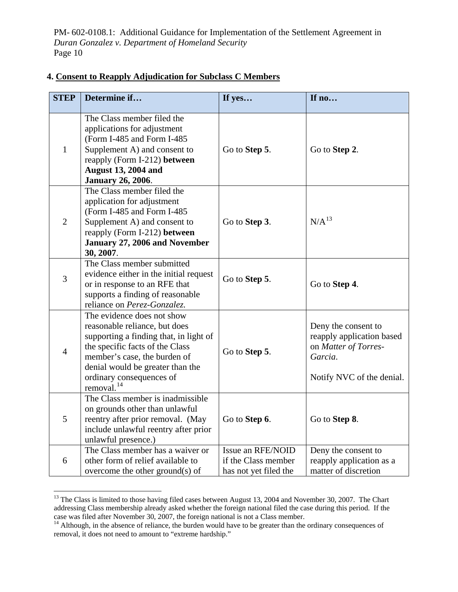| <b>STEP</b>    | Determine if                                                                                                                                                                                                                                                       | If yes                                                            | If no                                                                                                            |
|----------------|--------------------------------------------------------------------------------------------------------------------------------------------------------------------------------------------------------------------------------------------------------------------|-------------------------------------------------------------------|------------------------------------------------------------------------------------------------------------------|
| $\mathbf{1}$   | The Class member filed the<br>applications for adjustment<br>(Form I-485 and Form I-485<br>Supplement A) and consent to<br>reapply (Form I-212) between<br><b>August 13, 2004 and</b><br><b>January 26, 2006.</b>                                                  | Go to Step 5.                                                     | Go to Step 2.                                                                                                    |
| $\overline{2}$ | The Class member filed the<br>application for adjustment<br>(Form I-485 and Form I-485<br>Supplement A) and consent to<br>reapply (Form I-212) between<br>January 27, 2006 and November<br>30, 2007.                                                               | Go to Step 3.                                                     | $N/A^{13}$                                                                                                       |
| 3              | The Class member submitted<br>evidence either in the initial request<br>or in response to an RFE that<br>supports a finding of reasonable<br>reliance on Perez-Gonzalez.                                                                                           | Go to Step 5.                                                     | Go to Step 4.                                                                                                    |
| $\overline{4}$ | The evidence does not show<br>reasonable reliance, but does<br>supporting a finding that, in light of<br>the specific facts of the Class<br>member's case, the burden of<br>denial would be greater than the<br>ordinary consequences of<br>removal. <sup>14</sup> | Go to Step 5.                                                     | Deny the consent to<br>reapply application based<br>on Matter of Torres-<br>Garcia.<br>Notify NVC of the denial. |
| 5              | The Class member is inadmissible<br>on grounds other than unlawful<br>reentry after prior removal. (May<br>include unlawful reentry after prior<br>unlawful presence.)                                                                                             | Go to Step 6.                                                     | Go to Step 8.                                                                                                    |
| 6              | The Class member has a waiver or<br>other form of relief available to<br>overcome the other ground(s) of                                                                                                                                                           | Issue an RFE/NOID<br>if the Class member<br>has not yet filed the | Deny the consent to<br>reapply application as a<br>matter of discretion                                          |

# **4. Consent to Reapply Adjudication for Subclass C Members**

 $\overline{a}$ 

<span id="page-9-0"></span> addressing Class membership already asked whether the foreign national filed the case during this period. If the case was filed after November 30, 2007, the foreign national is not a Class member.<br><sup>14</sup> Although, in the absence of reliance, the burden would have to be greater than the ordinary consequences of <sup>13</sup> The Class is limited to those having filed cases between August 13, 2004 and November 30, 2007. The Chart

<span id="page-9-1"></span> removal, it does not need to amount to "extreme hardship."